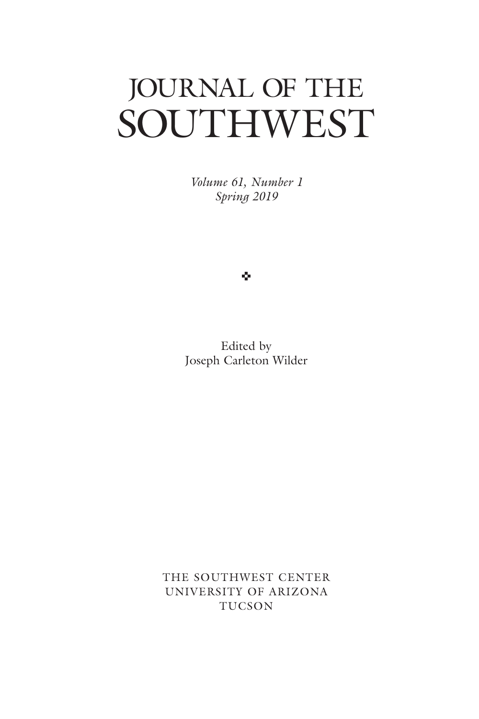# JOURNAL OF THE SOUTHWEST

*Volume 61, Number 1 Spring 2019*

ŵ

Edited by Joseph Carleton Wilder

THE SOUTHWEST CENTER UNIVERSITY OF ARIZONA TUCSON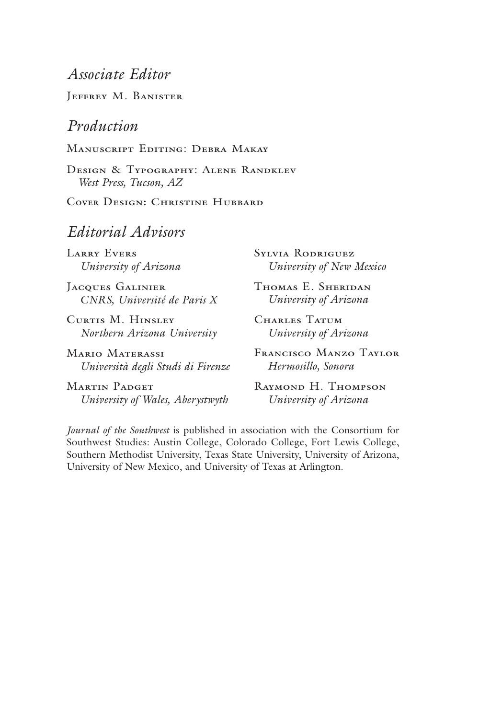### Associate Editor

JEFFREY M. BANISTER

#### Production

MANUSCRIPT EDITING: DEBRA MAKAY

DESIGN & TYPOGRAPHY: ALENE RANDKLEV West Press, Tucson, AZ

COVER DESIGN: CHRISTINE HUBBARD

#### Editorial Advisors

**LARRY EVERS** University of Arizona

JACQUES GALINIER CNRS, Université de Paris X

CURTIS M. HINSLEY Northern Arizona University

**MARIO MATERASSI** Università degli Studi di Firenze

**MARTIN PADGET** University of Wales, Aberystwyth **SYLVIA RODRIGUEZ** University of New Mexico

THOMAS E. SHERIDAN University of Arizona

CHARLES TATUM University of Arizona

FRANCISCO MANZO TAYLOR Hermosillo, Sonora

RAYMOND H. THOMPSON University of Arizona

Journal of the Southwest is published in association with the Consortium for Southwest Studies: Austin College, Colorado College, Fort Lewis College, Southern Methodist University, Texas State University, University of Arizona, University of New Mexico, and University of Texas at Arlington.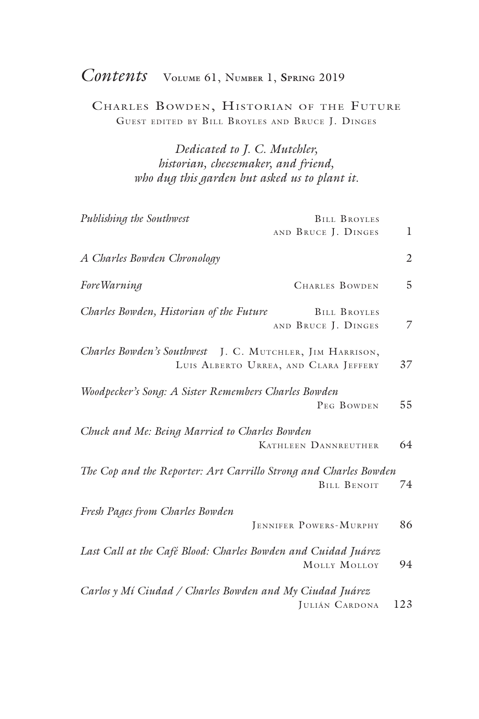## *Contents* <sup>V</sup>**olume** 61, <sup>N</sup>**umber** 1, **Spring** <sup>2019</sup>

Charles Bowden, Historian of the Future Guest edited by Bill Broyles and Bruce J. Dinges

> *Dedicated to J. C. Mutchler, historian, cheesemaker, and friend, who dug this garden but asked us to plant it.*

| Publishing the Southwest                                         | <b>BILL BROYLES</b>                        |                |
|------------------------------------------------------------------|--------------------------------------------|----------------|
|                                                                  | AND BRUCE J. DINGES                        | 1              |
| A Charles Bowden Chronology                                      |                                            | $\mathfrak{2}$ |
| Fore Warning                                                     | <b>CHARLES BOWDEN</b>                      | 5              |
| Charles Bowden, Historian of the Future                          | <b>BILL BROYLES</b><br>AND BRUCE J. DINGES | 7              |
| Charles Bowden's Southwest J. C. MUTCHLER, JIM HARRISON,         | LUIS ALBERTO URREA, AND CLARA JEFFERY      | 37             |
| Woodpecker's Song: A Sister Remembers Charles Bowden             | PEG BOWDEN                                 | 55             |
| Chuck and Me: Being Married to Charles Bowden                    | <b>KATHLEEN DANNREUTHER</b>                | 64             |
| The Cop and the Reporter: Art Carrillo Strong and Charles Bowden | <b>BILL BENOIT</b>                         | 74             |
| Fresh Pages from Charles Bowden                                  | JENNIFER POWERS-MURPHY                     | 86             |
| Last Call at the Café Blood: Charles Bowden and Cuidad Juárez    | MOLLY MOLLOY                               | 94             |
| Carlos y Mí Ciudad / Charles Bowden and My Ciudad Juárez         | JULIÁN CARDONA                             | 123            |